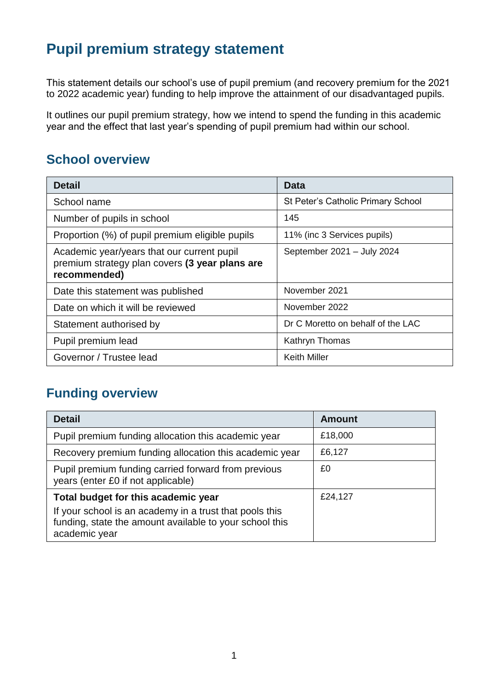# **Pupil premium strategy statement**

This statement details our school's use of pupil premium (and recovery premium for the 2021 to 2022 academic year) funding to help improve the attainment of our disadvantaged pupils.

It outlines our pupil premium strategy, how we intend to spend the funding in this academic year and the effect that last year's spending of pupil premium had within our school.

## **School overview**

| <b>Detail</b>                                                                                                | <b>Data</b>                        |
|--------------------------------------------------------------------------------------------------------------|------------------------------------|
| School name                                                                                                  | St Peter's Catholic Primary School |
| Number of pupils in school                                                                                   | 145                                |
| Proportion (%) of pupil premium eligible pupils                                                              | 11% (inc 3 Services pupils)        |
| Academic year/years that our current pupil<br>premium strategy plan covers (3 year plans are<br>recommended) | September 2021 - July 2024         |
| Date this statement was published                                                                            | November 2021                      |
| Date on which it will be reviewed                                                                            | November 2022                      |
| Statement authorised by                                                                                      | Dr C Moretto on behalf of the LAC  |
| Pupil premium lead                                                                                           | Kathryn Thomas                     |
| Governor / Trustee lead                                                                                      | <b>Keith Miller</b>                |

## **Funding overview**

| <b>Detail</b>                                                                                                                       | <b>Amount</b> |
|-------------------------------------------------------------------------------------------------------------------------------------|---------------|
| Pupil premium funding allocation this academic year                                                                                 | £18,000       |
| Recovery premium funding allocation this academic year                                                                              | £6,127        |
| Pupil premium funding carried forward from previous<br>years (enter £0 if not applicable)                                           | £0            |
| Total budget for this academic year                                                                                                 | £24,127       |
| If your school is an academy in a trust that pools this<br>funding, state the amount available to your school this<br>academic year |               |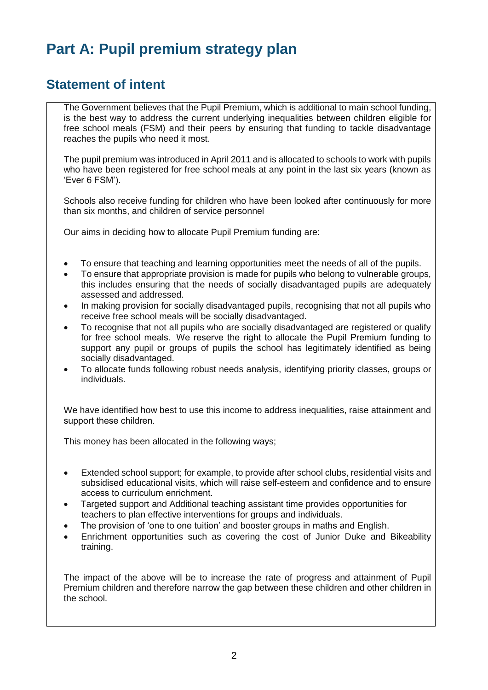# **Part A: Pupil premium strategy plan**

### **Statement of intent**

The Government believes that the Pupil Premium, which is additional to main school funding, is the best way to address the current underlying inequalities between children eligible for free school meals (FSM) and their peers by ensuring that funding to tackle disadvantage reaches the pupils who need it most.

The pupil premium was introduced in April 2011 and is allocated to schools to work with pupils who have been registered for free school meals at any point in the last six years (known as 'Ever 6 FSM').

Schools also receive funding for children who have been looked after continuously for more than six months, and children of service personnel

Our aims in deciding how to allocate Pupil Premium funding are:

- To ensure that teaching and learning opportunities meet the needs of all of the pupils.
- To ensure that appropriate provision is made for pupils who belong to vulnerable groups, this includes ensuring that the needs of socially disadvantaged pupils are adequately assessed and addressed.
- In making provision for socially disadvantaged pupils, recognising that not all pupils who receive free school meals will be socially disadvantaged.
- To recognise that not all pupils who are socially disadvantaged are registered or qualify for free school meals.  We reserve the right to allocate the Pupil Premium funding to support any pupil or groups of pupils the school has legitimately identified as being socially disadvantaged.
- To allocate funds following robust needs analysis, identifying priority classes, groups or individuals.

We have identified how best to use this income to address inequalities, raise attainment and support these children. 

This money has been allocated in the following ways;

- Extended school support; for example, to provide after school clubs, residential visits and subsidised educational visits, which will raise self-esteem and confidence and to ensure access to curriculum enrichment.
- Targeted support and Additional teaching assistant time provides opportunities for teachers to plan effective interventions for groups and individuals.
- The provision of 'one to one tuition' and booster groups in maths and English.
- Enrichment opportunities such as covering the cost of Junior Duke and Bikeability training.

The impact of the above will be to increase the rate of progress and attainment of Pupil Premium children and therefore narrow the gap between these children and other children in the school.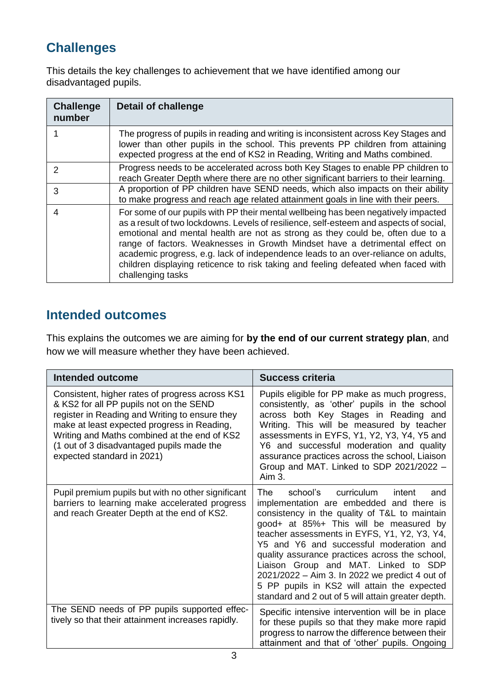# **Challenges**

This details the key challenges to achievement that we have identified among our disadvantaged pupils.

| <b>Challenge</b><br>number | Detail of challenge                                                                                                                                                                                                                                                                                                                                                                                                                                                                                                                          |
|----------------------------|----------------------------------------------------------------------------------------------------------------------------------------------------------------------------------------------------------------------------------------------------------------------------------------------------------------------------------------------------------------------------------------------------------------------------------------------------------------------------------------------------------------------------------------------|
|                            | The progress of pupils in reading and writing is inconsistent across Key Stages and<br>lower than other pupils in the school. This prevents PP children from attaining<br>expected progress at the end of KS2 in Reading, Writing and Maths combined.                                                                                                                                                                                                                                                                                        |
| $\mathcal{P}$              | Progress needs to be accelerated across both Key Stages to enable PP children to<br>reach Greater Depth where there are no other significant barriers to their learning.                                                                                                                                                                                                                                                                                                                                                                     |
| 3                          | A proportion of PP children have SEND needs, which also impacts on their ability<br>to make progress and reach age related attainment goals in line with their peers.                                                                                                                                                                                                                                                                                                                                                                        |
| 4                          | For some of our pupils with PP their mental wellbeing has been negatively impacted<br>as a result of two lockdowns. Levels of resilience, self-esteem and aspects of social,<br>emotional and mental health are not as strong as they could be, often due to a<br>range of factors. Weaknesses in Growth Mindset have a detrimental effect on<br>academic progress, e.g. lack of independence leads to an over-reliance on adults,<br>children displaying reticence to risk taking and feeling defeated when faced with<br>challenging tasks |

## **Intended outcomes**

This explains the outcomes we are aiming for **by the end of our current strategy plan**, and how we will measure whether they have been achieved.

| <b>Intended outcome</b>                                                                                                                                                                                                                                                                                                | <b>Success criteria</b>                                                                                                                                                                                                                                                                                                                                                                                                                                                                                                        |
|------------------------------------------------------------------------------------------------------------------------------------------------------------------------------------------------------------------------------------------------------------------------------------------------------------------------|--------------------------------------------------------------------------------------------------------------------------------------------------------------------------------------------------------------------------------------------------------------------------------------------------------------------------------------------------------------------------------------------------------------------------------------------------------------------------------------------------------------------------------|
| Consistent, higher rates of progress across KS1<br>& KS2 for all PP pupils not on the SEND<br>register in Reading and Writing to ensure they<br>make at least expected progress in Reading,<br>Writing and Maths combined at the end of KS2<br>(1 out of 3 disadvantaged pupils made the<br>expected standard in 2021) | Pupils eligible for PP make as much progress,<br>consistently, as 'other' pupils in the school<br>across both Key Stages in Reading and<br>Writing. This will be measured by teacher<br>assessments in EYFS, Y1, Y2, Y3, Y4, Y5 and<br>Y6 and successful moderation and quality<br>assurance practices across the school, Liaison<br>Group and MAT. Linked to SDP 2021/2022 -<br>$Aim3$ .                                                                                                                                      |
| Pupil premium pupils but with no other significant<br>barriers to learning make accelerated progress<br>and reach Greater Depth at the end of KS2.                                                                                                                                                                     | The<br>school's curriculum<br>intent<br>and<br>implementation are embedded and there is<br>consistency in the quality of T&L to maintain<br>good+ at 85%+ This will be measured by<br>teacher assessments in EYFS, Y1, Y2, Y3, Y4,<br>Y5 and Y6 and successful moderation and<br>quality assurance practices across the school,<br>Liaison Group and MAT. Linked to SDP<br>2021/2022 - Aim 3. In 2022 we predict 4 out of<br>5 PP pupils in KS2 will attain the expected<br>standard and 2 out of 5 will attain greater depth. |
| The SEND needs of PP pupils supported effec-<br>tively so that their attainment increases rapidly.                                                                                                                                                                                                                     | Specific intensive intervention will be in place<br>for these pupils so that they make more rapid<br>progress to narrow the difference between their<br>attainment and that of 'other' pupils. Ongoing                                                                                                                                                                                                                                                                                                                         |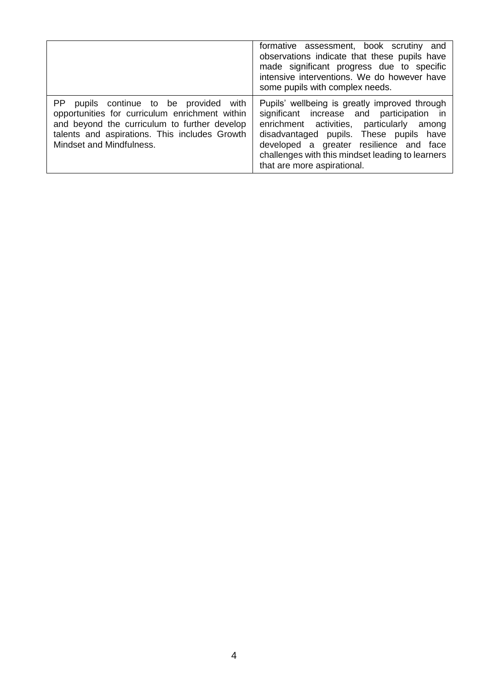|                                                                                                                                                                                                                       | formative assessment, book scrutiny and<br>observations indicate that these pupils have<br>made significant progress due to specific<br>intensive interventions. We do however have<br>some pupils with complex needs.                                                                                           |
|-----------------------------------------------------------------------------------------------------------------------------------------------------------------------------------------------------------------------|------------------------------------------------------------------------------------------------------------------------------------------------------------------------------------------------------------------------------------------------------------------------------------------------------------------|
| PP pupils continue to be provided with<br>opportunities for curriculum enrichment within<br>and beyond the curriculum to further develop<br>talents and aspirations. This includes Growth<br>Mindset and Mindfulness. | Pupils' wellbeing is greatly improved through<br>significant increase and participation in<br>enrichment activities, particularly among<br>disadvantaged pupils. These pupils have<br>developed a greater resilience and face<br>challenges with this mindset leading to learners<br>that are more aspirational. |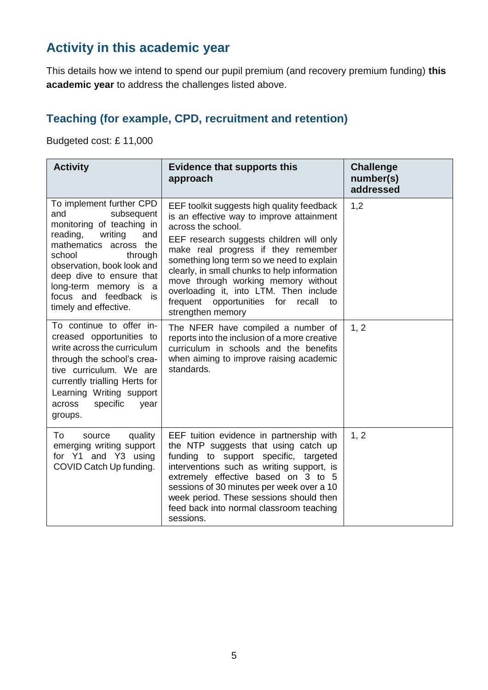## **Activity in this academic year**

This details how we intend to spend our pupil premium (and recovery premium funding) **this academic year** to address the challenges listed above.

#### **Teaching (for example, CPD, recruitment and retention)**

Budgeted cost: £ 11,000

| <b>Activity</b>                                                                                                                                                                                                                                                                              | <b>Evidence that supports this</b><br>approach                                                                                                                                                                                                                                                                                                                                                                                                    | <b>Challenge</b><br>number(s)<br>addressed |
|----------------------------------------------------------------------------------------------------------------------------------------------------------------------------------------------------------------------------------------------------------------------------------------------|---------------------------------------------------------------------------------------------------------------------------------------------------------------------------------------------------------------------------------------------------------------------------------------------------------------------------------------------------------------------------------------------------------------------------------------------------|--------------------------------------------|
| To implement further CPD<br>and<br>subsequent<br>monitoring of teaching in<br>reading,<br>writing<br>and<br>mathematics across the<br>school<br>through<br>observation, book look and<br>deep dive to ensure that<br>long-term memory is a<br>focus and feedback is<br>timely and effective. | EEF toolkit suggests high quality feedback<br>is an effective way to improve attainment<br>across the school.<br>EEF research suggests children will only<br>make real progress if they remember<br>something long term so we need to explain<br>clearly, in small chunks to help information<br>move through working memory without<br>overloading it, into LTM. Then include<br>frequent opportunities for<br>recall<br>to<br>strengthen memory | 1,2                                        |
| To continue to offer in-<br>creased opportunities to<br>write across the curriculum<br>through the school's crea-<br>tive curriculum. We are<br>currently trialling Herts for<br>Learning Writing support<br>specific<br>year<br>across<br>groups.                                           | The NFER have compiled a number of<br>reports into the inclusion of a more creative<br>curriculum in schools and the benefits<br>when aiming to improve raising academic<br>standards.                                                                                                                                                                                                                                                            | 1, 2                                       |
| To<br>quality<br>source<br>emerging writing support<br>for Y1 and Y3 using<br>COVID Catch Up funding.                                                                                                                                                                                        | EEF tuition evidence in partnership with<br>the NTP suggests that using catch up<br>funding to support specific, targeted<br>interventions such as writing support, is<br>extremely effective based on 3 to 5<br>sessions of 30 minutes per week over a 10<br>week period. These sessions should then<br>feed back into normal classroom teaching<br>sessions.                                                                                    | 1, 2                                       |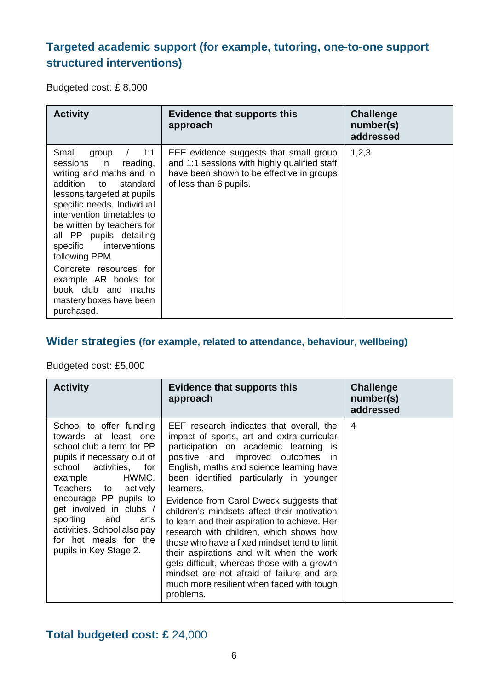### **Targeted academic support (for example, tutoring, one-to-one support structured interventions)**

Budgeted cost: £ 8,000

| <b>Activity</b>                                                                                                                                                                                                                                                                                                                                                                                                          | <b>Evidence that supports this</b><br>approach                                                                                                                | <b>Challenge</b><br>number(s)<br>addressed |
|--------------------------------------------------------------------------------------------------------------------------------------------------------------------------------------------------------------------------------------------------------------------------------------------------------------------------------------------------------------------------------------------------------------------------|---------------------------------------------------------------------------------------------------------------------------------------------------------------|--------------------------------------------|
| 1:1<br>Small<br>group<br>sessions in<br>reading,<br>writing and maths and in<br>addition to<br>standard<br>lessons targeted at pupils<br>specific needs. Individual<br>intervention timetables to<br>be written by teachers for<br>all PP pupils detailing<br>specific interventions<br>following PPM.<br>Concrete resources for<br>example AR books for<br>book club and maths<br>mastery boxes have been<br>purchased. | EEF evidence suggests that small group<br>and 1:1 sessions with highly qualified staff<br>have been shown to be effective in groups<br>of less than 6 pupils. | 1,2,3                                      |

#### **Wider strategies (for example, related to attendance, behaviour, wellbeing)**

Budgeted cost: £5,000

| <b>Activity</b>                                                                                                                                                                                                                                                                                                                                    | Evidence that supports this<br>approach                                                                                                                                                                                                                                                                                                                                                                                                                                                                                                                                                                                                                                                                          | <b>Challenge</b><br>number(s)<br>addressed |
|----------------------------------------------------------------------------------------------------------------------------------------------------------------------------------------------------------------------------------------------------------------------------------------------------------------------------------------------------|------------------------------------------------------------------------------------------------------------------------------------------------------------------------------------------------------------------------------------------------------------------------------------------------------------------------------------------------------------------------------------------------------------------------------------------------------------------------------------------------------------------------------------------------------------------------------------------------------------------------------------------------------------------------------------------------------------------|--------------------------------------------|
| School to offer funding<br>towards at least one<br>school club a term for PP<br>pupils if necessary out of<br>school activities, for<br>HWMC.<br>example<br>Teachers to<br>actively<br>encourage PP pupils to<br>get involved in clubs /<br>sporting and<br>arts<br>activities. School also pay<br>for hot meals for the<br>pupils in Key Stage 2. | EEF research indicates that overall, the<br>impact of sports, art and extra-curricular<br>participation on academic learning is<br>positive and improved outcomes in<br>English, maths and science learning have<br>been identified particularly in younger<br>learners.<br>Evidence from Carol Dweck suggests that<br>children's mindsets affect their motivation<br>to learn and their aspiration to achieve. Her<br>research with children, which shows how<br>those who have a fixed mindset tend to limit<br>their aspirations and wilt when the work<br>gets difficult, whereas those with a growth<br>mindset are not afraid of failure and are<br>much more resilient when faced with tough<br>problems. | 4                                          |

#### **Total budgeted cost: £** 24,000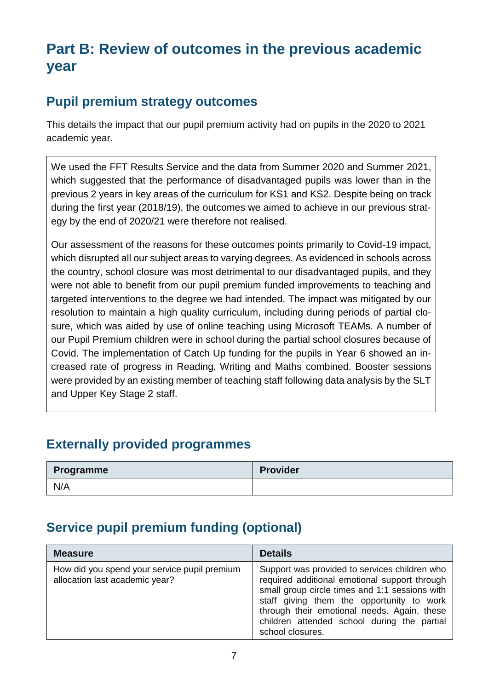# **Part B: Review of outcomes in the previous academic year**

## **Pupil premium strategy outcomes**

This details the impact that our pupil premium activity had on pupils in the 2020 to 2021 academic year.

We used the FFT Results Service and the data from Summer 2020 and Summer 2021, which suggested that the performance of disadvantaged pupils was lower than in the previous 2 years in key areas of the curriculum for KS1 and KS2. Despite being on track during the first year (2018/19), the outcomes we aimed to achieve in our previous strategy by the end of 2020/21 were therefore not realised.

Our assessment of the reasons for these outcomes points primarily to Covid-19 impact, which disrupted all our subject areas to varying degrees. As evidenced in schools across the country, school closure was most detrimental to our disadvantaged pupils, and they were not able to benefit from our pupil premium funded improvements to teaching and targeted interventions to the degree we had intended. The impact was mitigated by our resolution to maintain a high quality curriculum, including during periods of partial closure, which was aided by use of online teaching using Microsoft TEAMs. A number of our Pupil Premium children were in school during the partial school closures because of Covid. The implementation of Catch Up funding for the pupils in Year 6 showed an increased rate of progress in Reading, Writing and Maths combined. Booster sessions were provided by an existing member of teaching staff following data analysis by the SLT and Upper Key Stage 2 staff.

### **Externally provided programmes**

| Programme | <b>Provider</b> |
|-----------|-----------------|
| N/A       |                 |

# **Service pupil premium funding (optional)**

| <b>Measure</b>                                                                 | <b>Details</b>                                                                                                                                                                                                                                                                                                  |
|--------------------------------------------------------------------------------|-----------------------------------------------------------------------------------------------------------------------------------------------------------------------------------------------------------------------------------------------------------------------------------------------------------------|
| How did you spend your service pupil premium<br>allocation last academic year? | Support was provided to services children who<br>required additional emotional support through<br>small group circle times and 1:1 sessions with<br>staff giving them the opportunity to work<br>through their emotional needs. Again, these<br>children attended school during the partial<br>school closures. |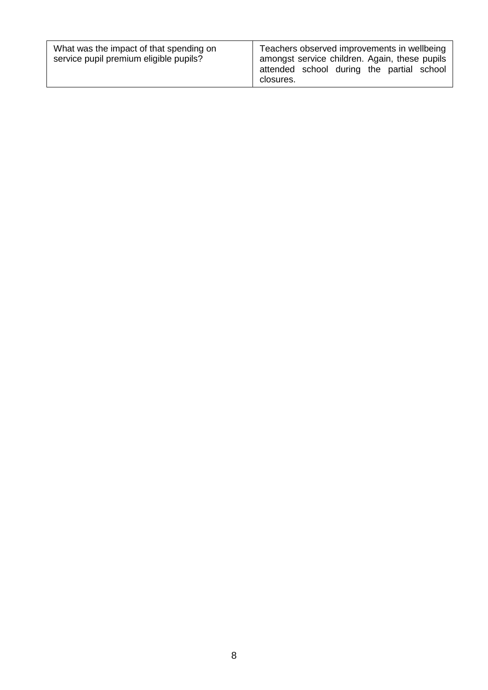| What was the impact of that spending on<br>service pupil premium eligible pupils? | Teachers observed improvements in wellbeing<br>amongst service children. Again, these pupils<br>attended school during the partial school<br>closures. |
|-----------------------------------------------------------------------------------|--------------------------------------------------------------------------------------------------------------------------------------------------------|